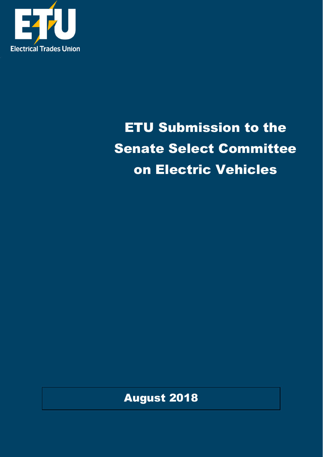

# ETU Submission to the Senate Select Committee on Electric Vehicles

August 2018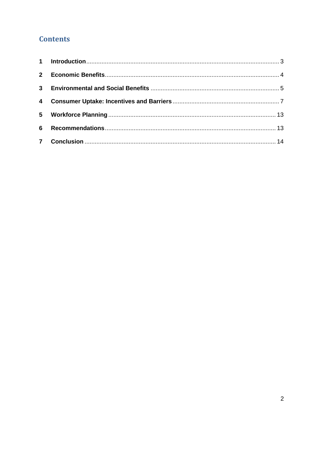# **Contents**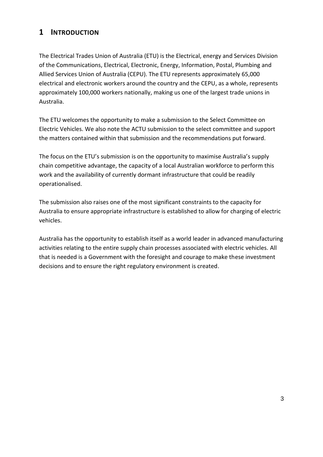## <span id="page-2-0"></span>**1 INTRODUCTION**

The Electrical Trades Union of Australia (ETU) is the Electrical, energy and Services Division of the Communications, Electrical, Electronic, Energy, Information, Postal, Plumbing and Allied Services Union of Australia (CEPU). The ETU represents approximately 65,000 electrical and electronic workers around the country and the CEPU, as a whole, represents approximately 100,000 workers nationally, making us one of the largest trade unions in Australia.

The ETU welcomes the opportunity to make a submission to the Select Committee on Electric Vehicles. We also note the ACTU submission to the select committee and support the matters contained within that submission and the recommendations put forward.

The focus on the ETU's submission is on the opportunity to maximise Australia's supply chain competitive advantage, the capacity of a local Australian workforce to perform this work and the availability of currently dormant infrastructure that could be readily operationalised.

The submission also raises one of the most significant constraints to the capacity for Australia to ensure appropriate infrastructure is established to allow for charging of electric vehicles.

Australia has the opportunity to establish itself as a world leader in advanced manufacturing activities relating to the entire supply chain processes associated with electric vehicles. All that is needed is a Government with the foresight and courage to make these investment decisions and to ensure the right regulatory environment is created.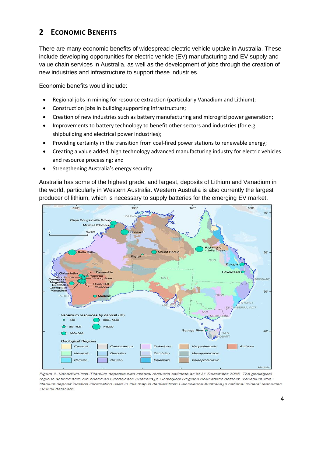## <span id="page-3-0"></span>**2 ECONOMIC BENEFITS**

There are many economic benefits of widespread electric vehicle uptake in Australia. These include developing opportunities for electric vehicle (EV) manufacturing and EV supply and value chain services in Australia, as well as the development of jobs through the creation of new industries and infrastructure to support these industries.

Economic benefits would include:

- Regional jobs in mining for resource extraction (particularly Vanadium and Lithium);
- Construction jobs in building supporting infrastructure;
- Creation of new industries such as battery manufacturing and microgrid power generation;
- Improvements to battery technology to benefit other sectors and industries (for e.g. shipbuilding and electrical power industries);
- Providing certainty in the transition from coal-fired power stations to renewable energy;
- Creating a value added, high technology advanced manufacturing industry for electric vehicles and resource processing; and
- Strengthening Australia's energy security.

Australia has some of the highest grade, and largest, deposits of Lithium and Vanadium in the world, particularly in Western Australia. Western Australia is also currently the largest producer of lithium, which is necessary to supply batteries for the emerging EV market.



Figure 1. Vanadium-Iron-Titanium deposits with mineral resource estimate as at 31 December 2016. The geological regions defined here are based on Geoscience Australia¿s Geological Regions Boundaries dataset. Vanadium-irontitanium deposit location information used in this map is derived from Geoscience Australiazs national mineral resources OZMIN database.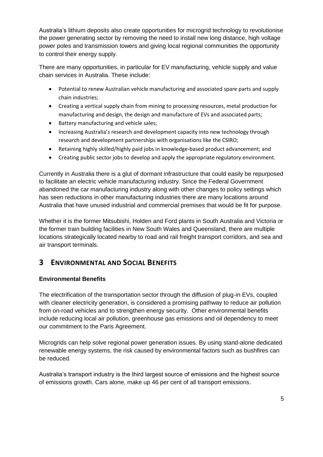Australia's lithium deposits also create opportunities for microgrid technology to revolutionise the power generating sector by removing the need to install new long distance, high voltage power poles and transmission towers and giving local regional communities the opportunity to control their energy supply.

There are many opportunities, in particular for EV manufacturing, vehicle supply and value chain services in Australia. These include:

- Potential to renew Australian vehicle manufacturing and associated spare parts and supply chain industries;
- Creating a vertical supply chain from mining to processing resources, metal production for manufacturing and design, the design and manufacture of EVs and associated parts;
- Battery manufacturing and vehicle sales;
- Increasing Australia's research and development capacity into new technology through research and development partnerships with organisations like the CSIRO;
- Retaining highly skilled/highly paid jobs in knowledge-based product advancement; and
- Creating public sector jobs to develop and apply the appropriate regulatory environment.

Currently in Australia there is a glut of dormant infrastructure that could easily be repurposed to facilitate an electric vehicle manufacturing industry. Since the Federal Government abandoned the car manufacturing industry along with other changes to policy settings which has seen reductions in other manufacturing industries there are many locations around Australia that have unused industrial and commercial premises that would be fit for purpose.

Whether it is the former Mitsubishi, Holden and Ford plants in South Australia and Victoria or the former train building facilities in New South Wales and Queensland, there are multiple locations strategically located nearby to road and rail freight transport corridors, and sea and air transport terminals.

# <span id="page-4-0"></span>**3 ENVIRONMENTAL AND SOCIAL BENEFITS**

## **Environmental Benefits**

The electrification of the transportation sector through the diffusion of plug-in EVs, coupled with cleaner electricity generation, is considered a promising pathway to reduce air pollution from on-road vehicles and to strengthen energy security. Other environmental benefits include reducing local air pollution, greenhouse gas emissions and oil dependency to meet our commitment to the Paris Agreement.

Microgrids can help solve regional power generation issues. By using stand-alone dedicated renewable energy systems, the risk caused by environmental factors such as bushfires can be reduced.

Australia's transport industry is the third largest source of emissions and the highest source of emissions growth. Cars alone, make up 46 per cent of all transport emissions.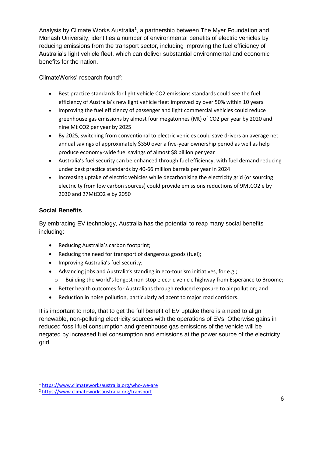Analysis by Climate Works Australia<sup>1</sup>, a partnership between The Myer Foundation and Monash University, identifies a number of environmental benefits of electric vehicles by reducing emissions from the transport sector, including improving the fuel efficiency of Australia's light vehicle fleet, which can deliver substantial environmental and economic benefits for the nation.

ClimateWorks' research found<sup>2</sup>:

- Best practice standards for light vehicle CO2 emissions standards could see the fuel efficiency of Australia's new light vehicle fleet improved by over 50% within 10 years
- Improving the fuel efficiency of passenger and light commercial vehicles could reduce greenhouse gas emissions by almost four megatonnes (Mt) of CO2 per year by 2020 and nine Mt CO2 per year by 2025
- By 2025, switching from conventional to electric vehicles could save drivers an average net annual savings of approximately \$350 over a five-year ownership period as well as help produce economy-wide fuel savings of almost \$8 billion per year
- Australia's fuel security can be enhanced through fuel efficiency, with fuel demand reducing under best practice standards by 40-66 million barrels per year in 2024
- Increasing uptake of electric vehicles while decarbonising the electricity grid (or sourcing electricity from low carbon sources) could provide emissions reductions of 9MtCO2 e by 2030 and 27MtCO2 e by 2050

## **Social Benefits**

-

By embracing EV technology, Australia has the potential to reap many social benefits including:

- Reducing Australia's carbon footprint;
- Reducing the need for transport of dangerous goods (fuel);
- Improving Australia's fuel security;
- Advancing jobs and Australia's standing in eco-tourism initiatives, for e.g.;
	- o Building the world's longest non-stop electric vehicle highway from Esperance to Broome;
- Better health outcomes for Australians through reduced exposure to air pollution; and
- Reduction in noise pollution, particularly adjacent to major road corridors.

It is important to note, that to get the full benefit of EV uptake there is a need to align renewable, non-polluting electricity sources with the operations of EVs. Otherwise gains in reduced fossil fuel consumption and greenhouse gas emissions of the vehicle will be negated by increased fuel consumption and emissions at the power source of the electricity grid.

<sup>1</sup> <https://www.climateworksaustralia.org/who-we-are>

<sup>2</sup> <https://www.climateworksaustralia.org/transport>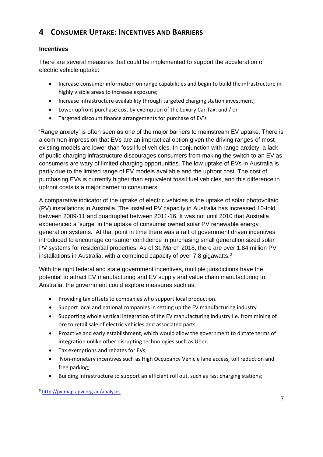# <span id="page-6-0"></span>**4 CONSUMER UPTAKE: INCENTIVES AND BARRIERS**

#### **Incentives**

There are several measures that could be implemented to support the acceleration of electric vehicle uptake:

- Increase consumer information on range capabilities and begin to build the infrastructure in highly visible areas to increase exposure;
- Increase infrastructure availability through targeted charging station investment;
- Lower upfront purchase cost by exemption of the Luxury Car Tax; and / or
- Targeted discount finance arrangements for purchase of EV's

'Range anxiety' is often seen as one of the major barriers to mainstream EV uptake. There is a common impression that EVs are an impractical option given the driving ranges of most existing models are lower than fossil fuel vehicles. In conjunction with range anxiety, a lack of public charging infrastructure discourages consumers from making the switch to an EV as consumers are wary of limited charging opportunities. The low uptake of EVs in Australia is partly due to the limited range of EV models available and the upfront cost. The cost of purchasing EVs is currently higher than equivalent fossil fuel vehicles, and this difference in upfront costs is a major barrier to consumers.

A comparative indicator of the uptake of electric vehicles is the uptake of solar photovoltaic (PV) installations in Australia. The installed PV capacity in Australia has increased 10-fold between 2009-11 and quadrupled between 2011-16. It was not until 2010 that Australia experienced a 'surge' in the uptake of consumer owned solar PV renewable energy generation systems. At that point in time there was a raft of government driven incentives introduced to encourage consumer confidence in purchasing small generation sized solar PV systems for residential properties. As of 31 March 2018, there are over 1.84 million PV installations in Australia, with a combined capacity of over 7.8 gigawatts.<sup>3</sup>

With the right federal and state government incentives, multiple jurisdictions have the potential to attract EV manufacturing and EV supply and value chain manufacturing to Australia, the government could explore measures such as:

- Providing tax offsets to companies who support local production.
- Support local and national companies in setting up the EV manufacturing industry
- Supporting whole vertical integration of the EV manufacturing industry i.e. from mining of ore to retail sale of electric vehicles and associated parts
- Proactive and early establishment, which would allow the government to dictate terms of integration unlike other disrupting technologies such as Uber.
- Tax exemptions and rebates for EVs;
- Non-monetary incentives such as High Occupancy Vehicle lane access, toll reduction and free parking;
- Building infrastructure to support an efficient roll out, such as fast charging stations;

<sup>-</sup><sup>3</sup> <http://pv-map.apvi.org.au/analyses>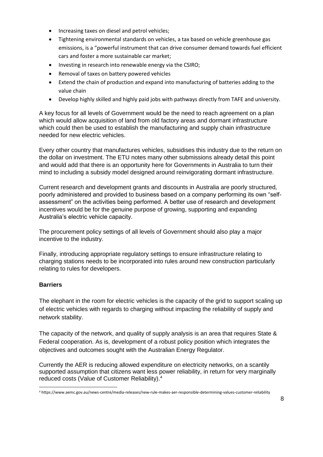- Increasing taxes on diesel and petrol vehicles;
- Tightening environmental standards on vehicles, a tax based on vehicle greenhouse gas emissions, is a "powerful instrument that can drive consumer demand towards fuel efficient cars and foster a more sustainable car market;
- Investing in research into renewable energy via the CSIRO;
- Removal of taxes on battery powered vehicles
- Extend the chain of production and expand into manufacturing of batteries adding to the value chain
- Develop highly skilled and highly paid jobs with pathways directly from TAFE and university.

A key focus for all levels of Government would be the need to reach agreement on a plan which would allow acquisition of land from old factory areas and dormant infrastructure which could then be used to establish the manufacturing and supply chain infrastructure needed for new electric vehicles.

Every other country that manufactures vehicles, subsidises this industry due to the return on the dollar on investment. The ETU notes many other submissions already detail this point and would add that there is an opportunity here for Governments in Australia to turn their mind to including a subsidy model designed around reinvigorating dormant infrastructure.

Current research and development grants and discounts in Australia are poorly structured, poorly administered and provided to business based on a company performing its own "selfassessment" on the activities being performed. A better use of research and development incentives would be for the genuine purpose of growing, supporting and expanding Australia's electric vehicle capacity.

The procurement policy settings of all levels of Government should also play a major incentive to the industry.

Finally, introducing appropriate regulatory settings to ensure infrastructure relating to charging stations needs to be incorporated into rules around new construction particularly relating to rules for developers.

#### **Barriers**

-

The elephant in the room for electric vehicles is the capacity of the grid to support scaling up of electric vehicles with regards to charging without impacting the reliability of supply and network stability.

The capacity of the network, and quality of supply analysis is an area that requires State & Federal cooperation. As is, development of a robust policy position which integrates the objectives and outcomes sought with the Australian Energy Regulator.

Currently the AER is reducing allowed expenditure on electricity networks, on a scantily supported assumption that citizens want less power reliability, in return for very marginally reduced costs (Value of Customer Reliability).<sup>4</sup>

<sup>4</sup> https://www.aemc.gov.au/news-centre/media-releases/new-rule-makes-aer-responsible-determining-values-customer-reliability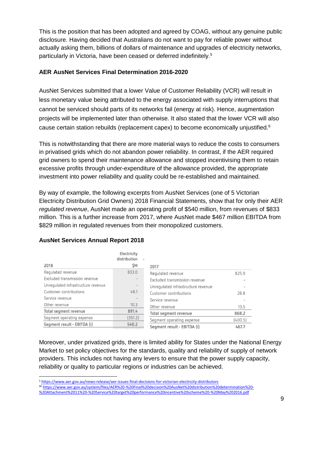This is the position that has been adopted and agreed by COAG, without any genuine public disclosure. Having decided that Australians do not want to pay for reliable power without actually asking them, billions of dollars of maintenance and upgrades of electricity networks, particularly in Victoria, have been ceased or deferred indefinitely.<sup>5</sup>

#### **AER AusNet Services Final Determination 2016-2020**

AusNet Services submitted that a lower Value of Customer Reliability (VCR) will result in less monetary value being attributed to the energy associated with supply interruptions that cannot be serviced should parts of its networks fail (energy at risk). Hence, augmentation projects will be implemented later than otherwise. It also stated that the lower VCR will also cause certain station rebuilds (replacement capex) to become economically unjustified.<sup>6</sup>

This is notwithstanding that there are more material ways to reduce the costs to consumers in privatised grids which do not abandon power reliability. In contrast, if the AER required grid owners to spend their maintenance allowance and stopped incentivising them to retain excessive profits through under-expenditure of the allowance provided, the appropriate investment into power reliability and quality could be re-established and maintained.

By way of example, the following excerpts from AusNet Services (one of 5 Victorian Electricity Distribution Grid Owners) 2018 Financial Statements, show that for only their AER *regulated revenue*, AusNet made an operating profit of \$540 million, from revenues of \$833 million. This is a further increase from 2017, where AusNet made \$467 million EBITDA from \$829 million in regulated revenues from their monopolized customers.

|                                    | <b>Electricity</b><br>distribution |                                    |         |
|------------------------------------|------------------------------------|------------------------------------|---------|
| 2018                               | \$Μ                                | 2017                               |         |
| Regulated revenue                  | 833.0                              | Regulated revenue                  | 825.9   |
| Excluded transmission revenue      |                                    | Excluded transmission revenue      |         |
| Unregulated infrastructure revenue |                                    | Unregulated infrastructure revenue |         |
| Customer contributions             | 48.1                               | Customer contributions             | 28.8    |
| Service revenue                    |                                    | Service revenue                    |         |
| Other revenue                      | 10.3                               | Other revenue                      | 13.5    |
| Total segment revenue              | 891.4                              | Total segment revenue              | 868.2   |
| Segment operating expense          | (351.2)                            | Segment operating expense          | (400.5) |
| Segment result - EBITDA (i)        | 540.2                              | Segment result - EBITDA (i)        | 467.7   |
|                                    |                                    |                                    |         |

#### **AusNet Services Annual Report 2018**

-

Moreover, under privatized grids, there is limited ability for States under the National Energy Market to set policy objectives for the standards, quality and reliability of supply of network providers. This includes not having any levers to ensure that the power supply capacity, reliability or quality to particular regions or industries can be achieved.

<sup>5</sup> <https://www.aer.gov.au/news-release/aer-issues-final-decisions-for-victorian-electricity-distributors>

<sup>66</sup> [https://www.aer.gov.au/system/files/AER%20-%20Final%20decision%20AusNet%20distribution%20determination%20-](https://www.aer.gov.au/system/files/AER%20-%20Final%20decision%20AusNet%20distribution%20determination%20-%20Attachment%2011%20-%20Service%20target%20performance%20incentive%20scheme%20-%20May%202016.pdf)

[<sup>%20</sup>Attachment%2011%20-%20Service%20target%20performance%20incentive%20scheme%20-%20May%202016.pdf](https://www.aer.gov.au/system/files/AER%20-%20Final%20decision%20AusNet%20distribution%20determination%20-%20Attachment%2011%20-%20Service%20target%20performance%20incentive%20scheme%20-%20May%202016.pdf)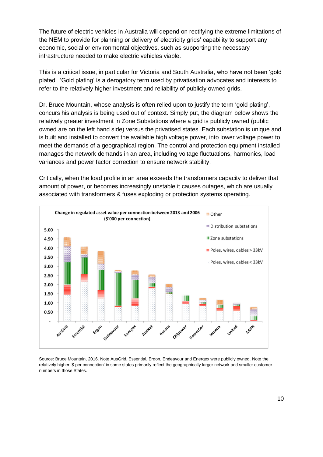The future of electric vehicles in Australia will depend on rectifying the extreme limitations of the NEM to provide for planning or delivery of electricity grids' capability to support any economic, social or environmental objectives, such as supporting the necessary infrastructure needed to make electric vehicles viable.

This is a critical issue, in particular for Victoria and South Australia, who have not been 'gold plated'. 'Gold plating' is a derogatory term used by privatisation advocates and interests to refer to the relatively higher investment and reliability of publicly owned grids.

Dr. Bruce Mountain, whose analysis is often relied upon to justify the term 'gold plating', concurs his analysis is being used out of context. Simply put, the diagram below shows the relatively greater investment in Zone Substations where a grid is publicly owned (public owned are on the left hand side) versus the privatised states. Each substation is unique and is built and installed to convert the available high voltage power, into lower voltage power to meet the demands of a geographical region. The control and protection equipment installed manages the network demands in an area, including voltage fluctuations, harmonics, load variances and power factor correction to ensure network stability.

Critically, when the load profile in an area exceeds the transformers capacity to deliver that amount of power, or becomes increasingly unstable it causes outages, which are usually associated with transformers & fuses exploding or protection systems operating.



Source: Bruce Mountain, 2016. Note AusGrid, Essential, Ergon, Endeavour and Energex were publicly owned. Note the relatively higher '\$ per connection' in some states primarily reflect the geographically larger network and smaller customer numbers in those States.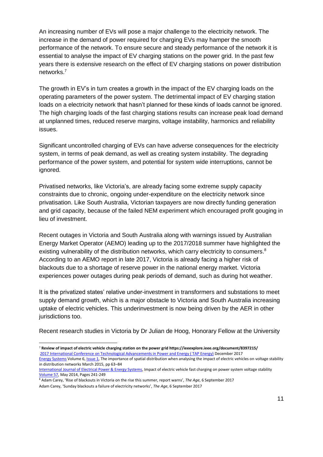An increasing number of EVs will pose a major challenge to the electricity network. The increase in the demand of power required for charging EVs may hamper the smooth performance of the network. To ensure secure and steady performance of the network it is essential to analyse the impact of EV charging stations on the power grid. In the past few years there is extensive research on the effect of EV charging stations on power distribution networks. 7

The growth in EV's in turn creates a growth in the impact of the EV charging loads on the operating parameters of the power system. The detrimental impact of EV charging station loads on a electricity network that hasn't planned for these kinds of loads cannot be ignored. The high charging loads of the fast charging stations results can increase peak load demand at unplanned times, reduced reserve margins, voltage instability, harmonics and reliability issues.

Significant uncontrolled charging of EVs can have adverse consequences for the electricity system, in terms of peak demand, as well as creating system instability. The degrading performance of the power system, and potential for system wide interruptions, cannot be ignored.

Privatised networks, like Victoria's, are already facing some extreme supply capacity constraints due to chronic, ongoing under-expenditure on the electricity network since privatisation. Like South Australia, Victorian taxpayers are now directly funding generation and grid capacity, because of the failed NEM experiment which encouraged profit gouging in lieu of investment.

Recent outages in Victoria and South Australia along with warnings issued by Australian Energy Market Operator (AEMO) leading up to the 2017/2018 summer have highlighted the existing vulnerability of the distribution networks, which carry electricity to consumers.<sup>8</sup> According to an AEMO report in late 2017, Victoria is already facing a higher risk of blackouts due to a shortage of reserve power in the national energy market. Victoria experiences power outages during peak periods of demand, such as during hot weather.

It is the privatized states' relative under-investment in transformers and substations to meet supply demand growth, which is a major obstacle to Victoria and South Australia increasing uptake of electric vehicles. This underinvestment is now being driven by the AER in other jurisdictions too.

Recent research studies in Victoria by Dr Julian de Hoog, Honorary Fellow at the University

<sup>-</sup><sup>7</sup> **Review of impact of electric vehicle charging station on the power grid https://ieeexplore.ieee.org/document/8397215/** [2017 International Conference on Technological Advancements in Power and Energy \( TAP Energy\)](https://ieeexplore.ieee.org/xpl/mostRecentIssue.jsp?punumber=8386712) December 2017 [Energy Systems](https://link.springer.com/journal/12667) Volume 6[, Issue](https://link.springer.com/journal/12667/6/1/page/1) 1, The importance of spatial distribution when analysing the impact of electric vehicles on voltage stability in distribution networks March 2015, pp 63–84

[International Journal of Electrical Power & Energy Systems,](https://www.sciencedirect.com/science/journal/01420615) Impact of electric vehicle fast charging on power system voltage stability [Volume 57,](https://www.sciencedirect.com/science/journal/01420615/57/supp/C) May 2014, Pages 241-249

<sup>8</sup> Adam Carey, 'Rise of blackouts in Victoria on the rise this summer, report warns', *The Age*, 6 September 2017 Adam Carey, 'Sunday blackouts a failure of electricity networks', *The Age*, 6 September 2017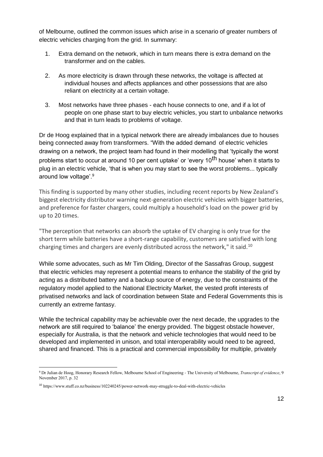of Melbourne, outlined the common issues which arise in a scenario of greater numbers of electric vehicles charging from the grid. In summary:

- 1. Extra demand on the network, which in turn means there is extra demand on the transformer and on the cables.
- 2. As more electricity is drawn through these networks, the voltage is affected at individual houses and affects appliances and other possessions that are also reliant on electricity at a certain voltage.
- 3. Most networks have three phases each house connects to one, and if a lot of people on one phase start to buy electric vehicles, you start to unbalance networks and that in turn leads to problems of voltage.

Dr de Hoog explained that in a typical network there are already imbalances due to houses being connected away from transformers. "With the added demand of electric vehicles drawing on a network, the project team had found in their modelling that 'typically the worst problems start to occur at around 10 per cent uptake' or 'every 10<sup>th</sup> house' when it starts to plug in an electric vehicle, 'that is when you may start to see the worst problems... typically around low voltage'.<sup>9</sup>

This finding is supported by many other studies, including recent reports by New Zealand's biggest electricity distributor warning next-generation electric vehicles with bigger batteries, and preference for faster chargers, could multiply a household's load on the power grid by up to 20 times.

"The perception that networks can absorb the uptake of EV charging is only true for the short term while batteries have a short-range capability, customers are satisfied with long charging times and chargers are evenly distributed across the network," it said.<sup>10</sup>

While some advocates, such as Mr Tim Olding, Director of the Sassafras Group, suggest that electric vehicles may represent a potential means to enhance the stability of the grid by acting as a distributed battery and a backup source of energy, due to the constraints of the regulatory model applied to the National Electricity Market, the vested profit interests of privatised networks and lack of coordination between State and Federal Governments this is currently an extreme fantasy.

While the technical capability may be achievable over the next decade, the upgrades to the network are still required to 'balance' the energy provided. The biggest obstacle however, especially for Australia, is that the network and vehicle technologies that would need to be developed and implemented in unison, and total interoperability would need to be agreed, shared and financed. This is a practical and commercial impossibility for multiple, privately

-

<sup>9</sup> Dr Julian de Hoog, Honorary Research Fellow, Melbourne School of Engineering ‐ The University of Melbourne, *Transcript of evidence*, 9 November 2017, p. 32

<sup>10</sup> https://www.stuff.co.nz/business/102240245/power-network-may-struggle-to-deal-with-electric-vehicles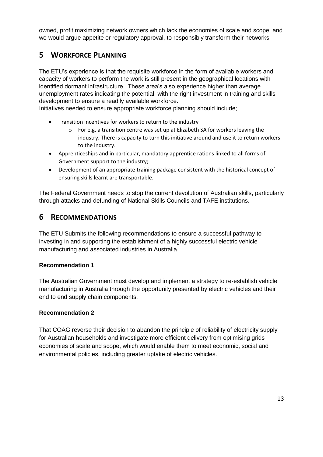owned, profit maximizing network owners which lack the economies of scale and scope, and we would argue appetite or regulatory approval, to responsibly transform their networks.

## <span id="page-12-0"></span>**5 WORKFORCE PLANNING**

The ETU's experience is that the requisite workforce in the form of available workers and capacity of workers to perform the work is still present in the geographical locations with identified dormant infrastructure. These area's also experience higher than average unemployment rates indicating the potential, with the right investment in training and skills development to ensure a readily available workforce.

Initiatives needed to ensure appropriate workforce planning should include;

- Transition incentives for workers to return to the industry
	- $\circ$  For e.g. a transition centre was set up at Elizabeth SA for workers leaving the industry. There is capacity to turn this initiative around and use it to return workers to the industry.
- Apprenticeships and in particular, mandatory apprentice rations linked to all forms of Government support to the industry;
- Development of an appropriate training package consistent with the historical concept of ensuring skills learnt are transportable.

The Federal Government needs to stop the current devolution of Australian skills, particularly through attacks and defunding of National Skills Councils and TAFE institutions.

## <span id="page-12-1"></span>**6 RECOMMENDATIONS**

The ETU Submits the following recommendations to ensure a successful pathway to investing in and supporting the establishment of a highly successful electric vehicle manufacturing and associated industries in Australia.

#### **Recommendation 1**

The Australian Government must develop and implement a strategy to re-establish vehicle manufacturing in Australia through the opportunity presented by electric vehicles and their end to end supply chain components.

## **Recommendation 2**

That COAG reverse their decision to abandon the principle of reliability of electricity supply for Australian households and investigate more efficient delivery from optimising grids economies of scale and scope, which would enable them to meet economic, social and environmental policies, including greater uptake of electric vehicles.